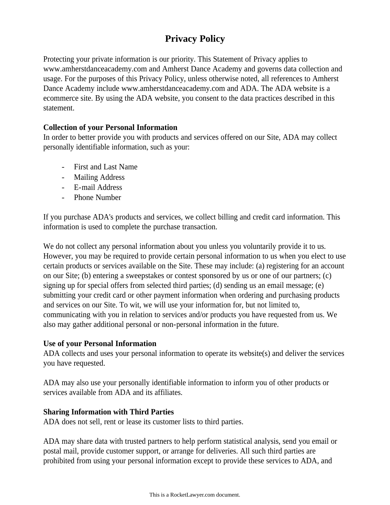# **Privacy Policy**

Protecting your private information is our priority. This Statement of Privacy applies to www.amherstdanceacademy.com and Amherst Dance Academy and governs data collection and usage. For the purposes of this Privacy Policy, unless otherwise noted, all references to Amherst Dance Academy include www.amherstdanceacademy.com and ADA. The ADA website is a ecommerce site. By using the ADA website, you consent to the data practices described in this statement.

## **Collection of your Personal Information**

In order to better provide you with products and services offered on our Site, ADA may collect personally identifiable information, such as your:

- First and Last Name
- Mailing Address
- E-mail Address
- Phone Number

If you purchase ADA's products and services, we collect billing and credit card information. This information is used to complete the purchase transaction.

We do not collect any personal information about you unless you voluntarily provide it to us. However, you may be required to provide certain personal information to us when you elect to use certain products or services available on the Site. These may include: (a) registering for an account on our Site; (b) entering a sweepstakes or contest sponsored by us or one of our partners; (c) signing up for special offers from selected third parties; (d) sending us an email message; (e) submitting your credit card or other payment information when ordering and purchasing products and services on our Site. To wit, we will use your information for, but not limited to, communicating with you in relation to services and/or products you have requested from us. We also may gather additional personal or non-personal information in the future.

## **Use of your Personal Information**

ADA collects and uses your personal information to operate its website(s) and deliver the services you have requested.

ADA may also use your personally identifiable information to inform you of other products or services available from ADA and its affiliates.

## **Sharing Information with Third Parties**

ADA does not sell, rent or lease its customer lists to third parties.

ADA may share data with trusted partners to help perform statistical analysis, send you email or postal mail, provide customer support, or arrange for deliveries. All such third parties are prohibited from using your personal information except to provide these services to ADA, and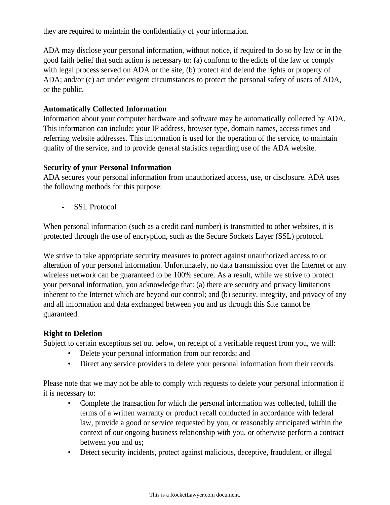they are required to maintain the confidentiality of your information.

ADA may disclose your personal information, without notice, if required to do so by law or in the good faith belief that such action is necessary to: (a) conform to the edicts of the law or comply with legal process served on ADA or the site; (b) protect and defend the rights or property of ADA; and/or (c) act under exigent circumstances to protect the personal safety of users of ADA, or the public.

#### **Automatically Collected Information**

Information about your computer hardware and software may be automatically collected by ADA. This information can include: your IP address, browser type, domain names, access times and referring website addresses. This information is used for the operation of the service, to maintain quality of the service, and to provide general statistics regarding use of the ADA website.

#### **Security of your Personal Information**

ADA secures your personal information from unauthorized access, use, or disclosure. ADA uses the following methods for this purpose:

- SSL Protocol

When personal information (such as a credit card number) is transmitted to other websites, it is protected through the use of encryption, such as the Secure Sockets Layer (SSL) protocol.

We strive to take appropriate security measures to protect against unauthorized access to or alteration of your personal information. Unfortunately, no data transmission over the Internet or any wireless network can be guaranteed to be 100% secure. As a result, while we strive to protect your personal information, you acknowledge that: (a) there are security and privacy limitations inherent to the Internet which are beyond our control; and (b) security, integrity, and privacy of any and all information and data exchanged between you and us through this Site cannot be guaranteed.

## **Right to Deletion**

Subject to certain exceptions set out below, on receipt of a verifiable request from you, we will:

- Delete your personal information from our records; and
- Direct any service providers to delete your personal information from their records.

Please note that we may not be able to comply with requests to delete your personal information if it is necessary to:

- Complete the transaction for which the personal information was collected, fulfill the terms of a written warranty or product recall conducted in accordance with federal law, provide a good or service requested by you, or reasonably anticipated within the context of our ongoing business relationship with you, or otherwise perform a contract between you and us;
- Detect security incidents, protect against malicious, deceptive, fraudulent, or illegal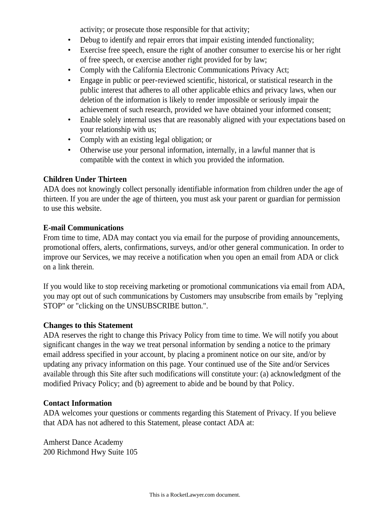activity; or prosecute those responsible for that activity;

- Debug to identify and repair errors that impair existing intended functionality;
- Exercise free speech, ensure the right of another consumer to exercise his or her right of free speech, or exercise another right provided for by law;
- Comply with the California Electronic Communications Privacy Act;
- Engage in public or peer-reviewed scientific, historical, or statistical research in the public interest that adheres to all other applicable ethics and privacy laws, when our deletion of the information is likely to render impossible or seriously impair the achievement of such research, provided we have obtained your informed consent;
- Enable solely internal uses that are reasonably aligned with your expectations based on your relationship with us;
- Comply with an existing legal obligation; or
- Otherwise use your personal information, internally, in a lawful manner that is compatible with the context in which you provided the information.

## **Children Under Thirteen**

ADA does not knowingly collect personally identifiable information from children under the age of thirteen. If you are under the age of thirteen, you must ask your parent or guardian for permission to use this website.

#### **E-mail Communications**

From time to time, ADA may contact you via email for the purpose of providing announcements, promotional offers, alerts, confirmations, surveys, and/or other general communication. In order to improve our Services, we may receive a notification when you open an email from ADA or click on a link therein.

If you would like to stop receiving marketing or promotional communications via email from ADA, you may opt out of such communications by Customers may unsubscribe from emails by "replying STOP" or "clicking on the UNSUBSCRIBE button.".

## **Changes to this Statement**

ADA reserves the right to change this Privacy Policy from time to time. We will notify you about significant changes in the way we treat personal information by sending a notice to the primary email address specified in your account, by placing a prominent notice on our site, and/or by updating any privacy information on this page. Your continued use of the Site and/or Services available through this Site after such modifications will constitute your: (a) acknowledgment of the modified Privacy Policy; and (b) agreement to abide and be bound by that Policy.

## **Contact Information**

ADA welcomes your questions or comments regarding this Statement of Privacy. If you believe that ADA has not adhered to this Statement, please contact ADA at:

Amherst Dance Academy 200 Richmond Hwy Suite 105